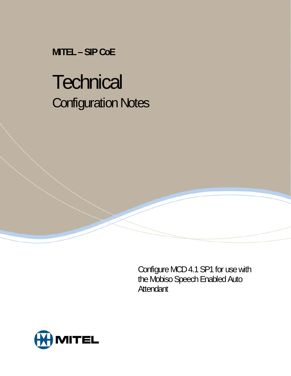**MITEL – SIP CoE** 

# **Technical** Configuration Notes

Configure MCD 4.1 SP1 for use with the Mobiso Speech Enabled Auto Attendant

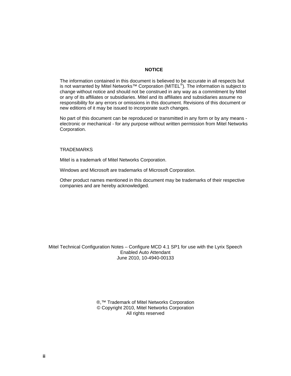#### **NOTICE**

The information contained in this document is believed to be accurate in all respects but is not warranted by Mitel Networks<sup>™</sup> Corporation (MITEL<sup>®</sup>). The information is subject to change without notice and should not be construed in any way as a commitment by Mitel or any of its affiliates or subsidiaries. Mitel and its affiliates and subsidiaries assume no responsibility for any errors or omissions in this document. Revisions of this document or new editions of it may be issued to incorporate such changes.

No part of this document can be reproduced or transmitted in any form or by any means electronic or mechanical - for any purpose without written permission from Mitel Networks Corporation.

#### TRADEMARKS

Mitel is a trademark of Mitel Networks Corporation.

Windows and Microsoft are trademarks of Microsoft Corporation.

Other product names mentioned in this document may be trademarks of their respective companies and are hereby acknowledged.

Mitel Technical Configuration Notes – Configure MCD 4.1 SP1 for use with the Lyrix Speech Enabled Auto Attendant June 2010, 10-4940-00133

> ®,<sup>™</sup> Trademark of Mitel Networks Corporation © Copyright 2010, Mitel Networks Corporation All rights reserved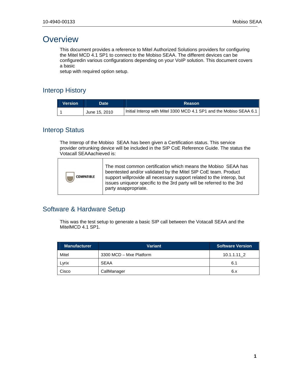## **Overview**

This document provides a reference to Mitel Authorized Solutions providers for configuring the Mitel MCD 4.1 SP1 to connect to the Mobiso SEAA. The different devices can be configuredin various configurations depending on your VoIP solution. This document covers a basic

setup with required option setup.

## Interop History

| <b>Version</b> | Date <b>T</b> | <b>Reason</b>                                                       |
|----------------|---------------|---------------------------------------------------------------------|
|                | June 15, 2010 | Initial Interop with Mitel 3300 MCD 4.1 SP1 and the Mobiso SEAA 6.1 |

### Interop Status

The Interop of the Mobiso SEAA has been given a Certification status. This service provider ortrunking device will be included in the SIP CoE Reference Guide. The status the Votacall SEAAachieved is:



## Software & Hardware Setup

This was the test setup to generate a basic SIP call between the Votacall SEAA and the MitelMCD 4.1 SP1.

| <b>Manufacturer</b> | <b>Variant</b>          | <b>Software Version</b> |
|---------------------|-------------------------|-------------------------|
| Mitel               | 3300 MCD - Mxe Platform | 10.1.1.11 2             |
| Lvrix               | <b>SEAA</b>             | 6.1                     |
| Cisco               | CallManager             | 6.x                     |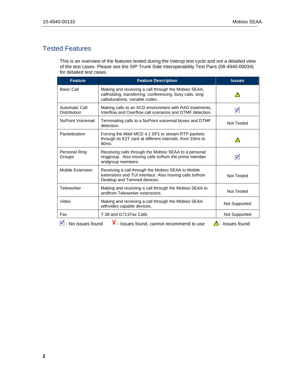## Tested Features

This is an overview of the features tested during the Interop test cycle and not a detailed view of the test cases. Please see the SIP Trunk Side Interoperability Test Pans (08-4940-00034) for detailed test cases.

| <b>Feature</b>                                                                           | <b>Feature Description</b>                                                                                                                           | <b>Issues</b>     |
|------------------------------------------------------------------------------------------|------------------------------------------------------------------------------------------------------------------------------------------------------|-------------------|
| <b>Basic Call</b>                                                                        | Making and receiving a call through the Mobiso SEAA,<br>callholding, transferring, conferencing, busy calls, long<br>callsdurations, variable codec. |                   |
| <b>Automatic Call</b><br><b>Distribution</b>                                             | Making calls to an ACD environment with RAD treatments,<br>Interflow and Overflow call scenarios and DTMF detection.                                 | ⊽                 |
| <b>NuPoint Voicemail</b>                                                                 | Terminating calls to a NuPoint voicemail boxes and DTMF<br>detection.                                                                                | <b>Not Tested</b> |
| Packetization                                                                            | Forcing the Mitel MCD 4.1 SP1 to stream RTP packets<br>through its E2T card at different intervals, from 10ms to<br>90 <sub>ms</sub>                 |                   |
| Personal Ring<br>Groups                                                                  | Receiving calls through the Mobiso SEAA to a personal<br>ringgroup. Also moving calls to/from the prime member<br>andgroup members.                  | ⊽                 |
| Mobile Extension                                                                         | Receiving a call through the Mobiso SEAA to Mobile<br>extensions and TUI interface. Also moving calls to/from<br>Desktop and Twinned devices.        | Not Tested        |
| Teleworker                                                                               | Making and receiving a call through the Mobiso SEAA to<br>andfrom Teleworker extensions.                                                             | Not Tested        |
| Video                                                                                    | Making and receiving a call through the Mobiso SEAA<br>withvideo capable devices.                                                                    | Not Supported     |
| Fax                                                                                      | T.38 and G711 Fax Calls                                                                                                                              | Not Supported     |
| X - Issues found, cannot recommend to use<br>⊽।<br>- No issues found<br>∆ - Issues found |                                                                                                                                                      |                   |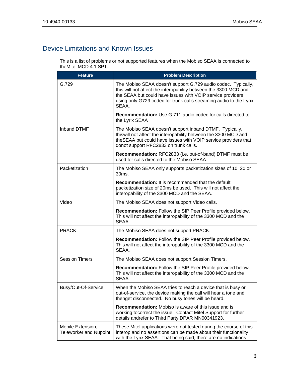## Device Limitations and Known Issues

This is a list of problems or not supported features when the Mobiso SEAA is connected to theMitel MCD 4.1 SP1.

| <b>Feature</b>                                     | <b>Problem Description</b>                                                                                                                                                                                                                                                     |  |
|----------------------------------------------------|--------------------------------------------------------------------------------------------------------------------------------------------------------------------------------------------------------------------------------------------------------------------------------|--|
| G.729                                              | The Mobiso SEAA doesn't support G.729 audio codec. Typically,<br>this will not affect the interopability between the 3300 MCD and<br>the SEAA but could have issues with VOIP service providers<br>using only G729 codec for trunk calls streaming audio to the Lyrix<br>SEAA. |  |
|                                                    | <b>Recommendation:</b> Use G.711 audio codec for calls directed to<br>the Lyrix SEAA                                                                                                                                                                                           |  |
| Inband DTMF                                        | The Mobiso SEAA doesn't support inband DTMF. Typically,<br>thiswill not affect the interopability between the 3300 MCD and<br>theSEAA but could have issues with VOIP service providers that<br>donot support RFC2833 on trunk calls.                                          |  |
|                                                    | <b>Recommendation:</b> RFC2833 (i.e. out-of-band) DTMF must be<br>used for calls directed to the Mobiso SEAA.                                                                                                                                                                  |  |
| Packetization                                      | The Mobiso SEAA only supports packetization sizes of 10, 20 or<br>30ms.                                                                                                                                                                                                        |  |
|                                                    | <b>Recommendation:</b> It is recommended that the default<br>packetization size of 20ms be used. This will not affect the<br>interopability of the 3300 MCD and the SEAA.                                                                                                      |  |
| Video                                              | The Mobiso SEAA does not support Video calls.                                                                                                                                                                                                                                  |  |
|                                                    | Recommendation: Follow the SIP Peer Profile provided below.<br>This will not affect the interopability of the 3300 MCD and the<br>SEAA.                                                                                                                                        |  |
| <b>PRACK</b>                                       | The Mobiso SEAA does not support PRACK.                                                                                                                                                                                                                                        |  |
|                                                    | Recommendation: Follow the SIP Peer Profile provided below.<br>This will not affect the interopability of the 3300 MCD and the<br>SEAA.                                                                                                                                        |  |
| <b>Session Timers</b>                              | The Mobiso SEAA does not support Session Timers.                                                                                                                                                                                                                               |  |
|                                                    | Recommendation: Follow the SIP Peer Profile provided below.<br>This will not affect the interopability of the 3300 MCD and the<br>SEAA.                                                                                                                                        |  |
| Busy/Out-Of-Service                                | When the Mobiso SEAA tries to reach a device that is busy or<br>out-of-service, the device making the call will hear a tone and<br>thenget disconnected. No busy tones will be heard.                                                                                          |  |
|                                                    | <b>Recommendation:</b> Mobiso is aware of this issue and is<br>working tocorrect the issue. Contact Mitel Support for further<br>details andrefer to Third Party DPAR MN00341923.                                                                                              |  |
| Mobile Extension,<br><b>Teleworker and Nupoint</b> | These Mitel applications were not tested during the course of this<br>interop and no assertions can be made about their functionality<br>with the Lyrix SEAA. That being said, there are no indications                                                                        |  |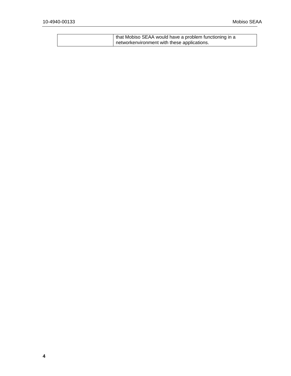| that Mobiso SEAA would have a problem functioning in a |  |
|--------------------------------------------------------|--|
| networkenvironment with these applications.            |  |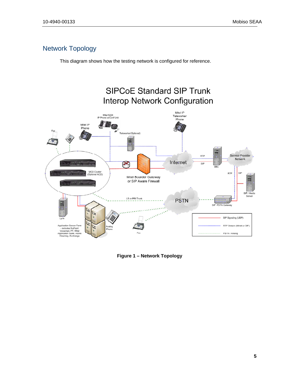## Network Topology

This diagram shows how the testing network is configured for reference.



**Figure 1 – Network Topology**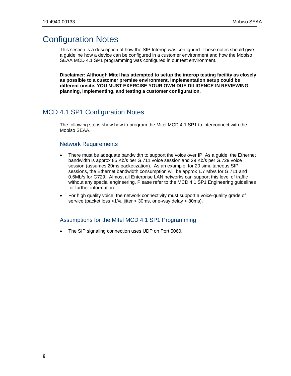## Configuration Notes

This section is a description of how the SIP Interop was configured. These notes should give a guideline how a device can be configured in a customer environment and how the Mobiso SEAA MCD 4.1 SP1 programming was configured in our test environment.

**Disclaimer: Although Mitel has attempted to setup the interop testing facility as closely as possible to a customer premise environment, implementation setup could be different onsite. YOU MUST EXERCISE YOUR OWN DUE DILIGENCE IN REVIEWING, planning, implementing, and testing a customer configuration.** 

#### MCD 4.1 SP1 Configuration Notes

The following steps show how to program the Mitel MCD 4.1 SP1 to interconnect with the Mobiso SEAA.

#### Network Requirements

- There must be adequate bandwidth to support the voice over IP. As a guide, the Ethernet bandwidth is approx 85 Kb/s per G.711 voice session and 29 Kb/s per G.729 voice session (assumes 20ms packetization). As an example, for 20 simultaneous SIP sessions, the Ethernet bandwidth consumption will be approx 1.7 Mb/s for G.711 and 0.6Mb/s for G729. Almost all Enterprise LAN networks can support this level of traffic without any special engineering. Please refer to the MCD 4.1 SP1 Engineering guidelines for further information.
- For high quality voice, the network connectivity must support a voice-quality grade of service (packet loss <1%, jitter < 30ms, one-way delay < 80ms).

#### Assumptions for the Mitel MCD 4.1 SP1 Programming

The SIP signaling connection uses UDP on Port 5060.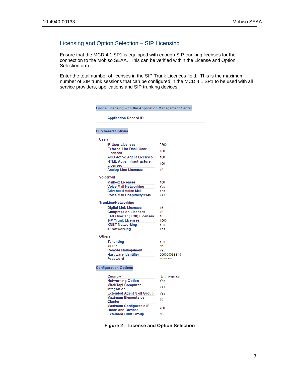#### Licensing and Option Selection – SIP Licensing

Ensure that the MCD 4.1 SP1 is equipped with enough SIP trunking licenses for the connection to the Mobiso SEAA. This can be verified within the License and Option Selectionform.

Enter the total number of licenses in the SIP Trunk Licences field. This is the maximum number of SIP trunk sessions that can be configured in the MCD 4.1 SP1 to be used with all service providers, applications and SIP trunking devices.

| <b>Application Record ID</b>                               |               |
|------------------------------------------------------------|---------------|
| <b>Purchased Options</b>                                   |               |
| Users                                                      |               |
| <b>IP User Licenses</b>                                    | 2300          |
| <b>External Hot Desk User</b>                              | 100           |
| <b>Licenses</b>                                            |               |
| <b>ACD Active Agent Licenses</b>                           | 100           |
| <b>HTML Apps Infrastructure</b><br><b>Licenses</b>         | 100           |
| <b>Analog Line Licenses</b>                                | 10            |
|                                                            |               |
| Voicemail                                                  |               |
| <b>Mailbox Licenses</b>                                    | 100           |
| <b>Voice Mail Networking</b>                               | Yes           |
| <b>Advanced Voice Mail</b>                                 | Yes           |
| <b>Voice Mail Hospitality/PMS</b>                          | Yes           |
| <b>Trunking/Networking</b>                                 |               |
| <b>Digital Link Licenses</b>                               | 16            |
| <b>Compression Licenses</b>                                | 16            |
| FAX Over IP (T.38) Licenses                                | 16            |
| <b>SIP Trunk Licenses</b>                                  | 1000          |
| <b>XNET Networking</b>                                     | Yes           |
| <b>IP Networking</b>                                       | Yes           |
| <b>Others</b>                                              |               |
|                                                            |               |
| <b>Tenanting</b><br><b>MLPP</b>                            | Yes<br>No     |
| <b>Remote Management</b>                                   | Yes           |
| <b>Hardware Identifier</b>                                 | 00000003BB45  |
| Password                                                   | **********    |
|                                                            |               |
| <b>Configuration Options</b>                               |               |
| Country                                                    | North America |
| <b>Networking Option</b>                                   | Yes           |
| <b>Mitai/Tapi Computer</b>                                 | Yes           |
| Integration                                                |               |
| <b>Extended Agent Skill Group</b>                          | Yes           |
| <b>Maximum Elements per</b>                                | 30            |
| <b>Cluster</b>                                             |               |
| <b>Maximum Configurable IP</b><br><b>Users and Devices</b> | 700           |
| <b>Extended Hunt Group</b>                                 | No            |

**Figure 2 – License and Option Selection**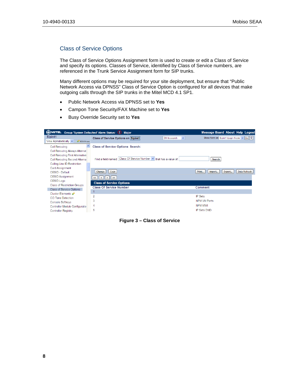#### Class of Service Options

The Class of Service Options Assignment form is used to create or edit a Class of Service and specify its options. Classes of Service, identified by Class of Service numbers, are referenced in the Trunk Service Assignment form for SIP trunks.

Many different options may be required for your site deployment, but ensure that "Public Network Access via DPNSS" Class of Service Option is configured for all devices that make outgoing calls through the SIP trunks in the Mitel MCD 4.1 SP1.

- Public Network Access via DPNSS set to **Yes**
- Campon Tone Security/FAX Machine set to **Yes**
- Busy Override Security set to **Yes**

| <b>MITEL</b><br>Group 'System Defaulted' Alarm Status: (1)<br><b>Message Board About Help Logout</b><br><b>Major</b> |                                                                       |                                                        |  |
|----------------------------------------------------------------------------------------------------------------------|-----------------------------------------------------------------------|--------------------------------------------------------|--|
| Sipint1                                                                                                              | Class of Service Options on Sipint1<br>DN to search<br>$\checkmark$   | Show form on Sipint1 (Login Node) $\vee$ Go $\ \psi\ $ |  |
| View Alphabetically $\vee$<br>SDS Share                                                                              |                                                                       |                                                        |  |
| <b>Call Rerouting</b>                                                                                                | <b>Class of Service Options Search:</b>                               |                                                        |  |
| <b>Call Rerouting Always Alternat</b>                                                                                |                                                                       |                                                        |  |
| <b>Call Rerouting First Alternative</b>                                                                              |                                                                       |                                                        |  |
| Call Rerouting Second Alterna                                                                                        | Class Of Service Number v that has a value of:<br>Find a field named: | <b>Search</b>                                          |  |
| Calling Line ID Restriction                                                                                          |                                                                       |                                                        |  |
| Card Assignment                                                                                                      |                                                                       |                                                        |  |
| CESID - Default                                                                                                      | Change<br>Copy                                                        | <b>Data Refresh</b><br>Export<br>Print<br>Import       |  |
| <b>CESID Assignment</b>                                                                                              | $\geq$<br>$\prec$<br>≺<br>>                                           |                                                        |  |
| <b>CESID Logs</b>                                                                                                    | <b>Class of Service Options</b>                                       |                                                        |  |
| <b>Class of Restriction Groups</b>                                                                                   | <b>Class Of Service Number</b>                                        | Comment                                                |  |
| Class of Service Options                                                                                             |                                                                       |                                                        |  |
| Cluster Elements                                                                                                     | 2                                                                     | <b>IP Sets</b>                                         |  |
| CO Tone Detection                                                                                                    | 3                                                                     | <b>NPM VM Ports</b>                                    |  |
| Console Softkeys                                                                                                     |                                                                       | <b>NPM MWI</b>                                         |  |
| Controller Module Configuratio                                                                                       | 4                                                                     |                                                        |  |
| <b>Controller Registry</b>                                                                                           | 5                                                                     | <b>IP Sets DND</b>                                     |  |

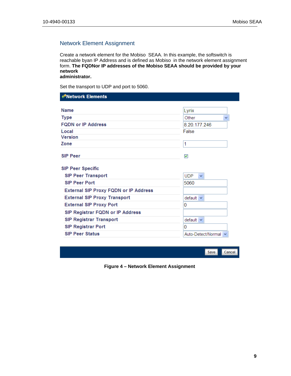#### Network Element Assignment

Create a network element for the Mobiso SEAA. In this example, the softswitch is reachable byan IP Address and is defined as Mobiso in the network element assignment form. **The FQDNor IP addresses of the Mobiso SEAA should be provided by your network administrator.**

Set the transport to UDP and port to 5060.

| <b>∉<sup>∌</sup>Network Elements</b>         |                            |
|----------------------------------------------|----------------------------|
|                                              |                            |
| <b>Name</b>                                  | Lyrix                      |
| <b>Type</b>                                  | Other<br>٧                 |
| <b>FQDN or IP Address</b>                    | 8.20.177.246               |
| Local                                        | False                      |
| <b>Version</b>                               |                            |
| Zone                                         | 1                          |
| <b>SIP Peer</b>                              | $\blacktriangledown$       |
|                                              |                            |
| <b>SIP Peer Specific</b>                     |                            |
| <b>SIP Peer Transport</b>                    | <b>UDP</b><br>$\checkmark$ |
| <b>SIP Peer Port</b>                         | 5060                       |
| <b>External SIP Proxy FQDN or IP Address</b> |                            |
| <b>External SIP Proxy Transport</b>          | $default \sim$             |
|                                              | 0                          |
| <b>External SIP Proxy Port</b>               |                            |
| SIP Registrar FQDN or IP Address             |                            |
| <b>SIP Registrar Transport</b>               | $default \sim$             |
| <b>SIP Registrar Port</b>                    | 0                          |



**Figure 4 – Network Element Assignment**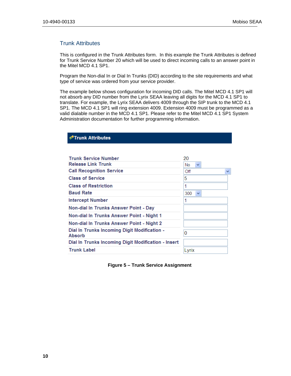#### Trunk Attributes

**∉<sup>→</sup>Trunk Attributes** 

This is configured in the Trunk Attributes form. In this example the Trunk Attributes is defined for Trunk Service Number 20 which will be used to direct incoming calls to an answer point in the Mitel MCD 4.1 SP1.

Program the Non-dial In or Dial In Trunks (DID) according to the site requirements and what type of service was ordered from your service provider.

The example below shows configuration for incoming DID calls. The Mitel MCD 4.1 SP1 will not absorb any DID number from the Lyrix SEAA leaving all digits for the MCD 4.1 SP1 to translate. For example, the Lyrix SEAA delivers 4009 through the SIP trunk to the MCD 4.1 SP1. The MCD 4.1 SP1 will ring extension 4009. Extension 4009 must be programmed as a valid dialable number in the MCD 4.1 SP1. Please refer to the Mitel MCD 4.1 SP1 System Administration documentation for further programming information.

| <b>Trunk Service Number</b>                                   | 20                  |
|---------------------------------------------------------------|---------------------|
| <b>Release Link Trunk</b>                                     | No<br>$\checkmark$  |
| <b>Call Recognition Service</b>                               | Off<br>$\checkmark$ |
| <b>Class of Service</b>                                       | 5                   |
| <b>Class of Restriction</b>                                   | 1                   |
| <b>Baud Rate</b>                                              | 300<br>$\checkmark$ |
| <b>Intercept Number</b>                                       | 1                   |
| Non-dial In Trunks Answer Point - Day                         |                     |
| Non-dial In Trunks Answer Point - Night 1                     |                     |
| Non-dial In Trunks Answer Point - Night 2                     |                     |
| Dial In Trunks Incoming Digit Modification -<br><b>Absorb</b> | 0                   |
| Dial In Trunks Incoming Digit Modification - Insert           |                     |
| <b>Trunk Label</b>                                            | Lyrix               |

**Figure 5 – Trunk Service Assignment**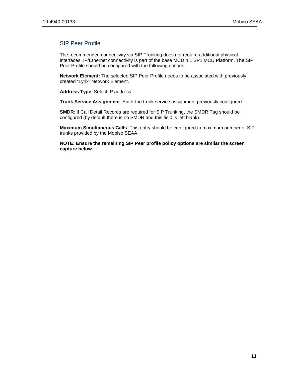#### SIP Peer Profile

The recommended connectivity via SIP Trunking does not require additional physical interfaces. IP/Ethernet connectivity is part of the base MCD 4.1 SP1 MCD Platform. The SIP Peer Profile should be configured with the following options:

**Network Element:** The selected SIP Peer Profile needs to be associated with previously created "Lyrix" Network Element.

**Address Type**: Select IP address.

**Trunk Service Assignment**: Enter the trunk service assignment previously configured.

**SMDR**: If Call Detail Records are required for SIP Trunking, the SMDR Tag should be configured (by default there is no SMDR and this field is left blank).

**Maximum Simultaneous Calls**: This entry should be configured to maximum number of SIP trunks provided by the Mobiso SEAA.

**NOTE: Ensure the remaining SIP Peer profile policy options are similar the screen capture below.**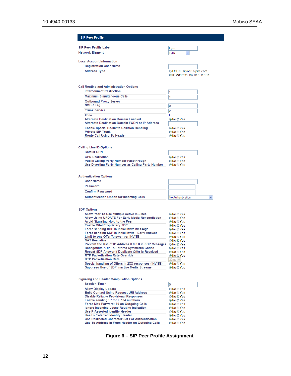| <b>SIP Peer Profile Label</b>                                                                         |                                                  |
|-------------------------------------------------------------------------------------------------------|--------------------------------------------------|
| <b>Network Element</b>                                                                                | Lyrix<br>Lyrix                                   |
|                                                                                                       | ×                                                |
| <b>Local Account Information</b>                                                                      |                                                  |
| <b>Registration User Name</b>                                                                         |                                                  |
| <b>Address Type</b>                                                                                   | ○ FQDN: siplab3.sipint.com                       |
|                                                                                                       | ⊙ IP Address: 66.46.196.195                      |
|                                                                                                       |                                                  |
|                                                                                                       |                                                  |
| <b>Call Routing and Administration Options</b>                                                        |                                                  |
| <b>Interconnect Restriction</b>                                                                       | 1                                                |
| <b>Maximum Simultaneous Calls</b>                                                                     | 10                                               |
| <b>Outbound Proxy Server</b>                                                                          |                                                  |
| SMDR Tag                                                                                              | 0                                                |
| <b>Trunk Service</b>                                                                                  | 20                                               |
| Zone                                                                                                  | 1                                                |
| <b>Alternate Destination Domain Enabled</b><br><b>Alternate Destination Domain FQDN or IP Address</b> | $\odot$ No $\odot$ Yes                           |
|                                                                                                       |                                                  |
| <b>Enable Special Re-invite Collision Handling</b><br><b>Private SIP Trunk</b>                        | $\odot$ No $\odot$ Yes<br>⊙No OYes               |
| <b>Route Call Using To Header</b>                                                                     | ⊙No O Yes                                        |
|                                                                                                       |                                                  |
|                                                                                                       |                                                  |
| <b>Calling Line ID Options</b>                                                                        |                                                  |
| <b>Default CPN</b>                                                                                    |                                                  |
| <b>CPN Restriction</b>                                                                                | $\odot$ No $\odot$ Yes                           |
| <b>Public Calling Party Number Passthrough</b>                                                        | $\odot$ No $\odot$ Yes                           |
| Use Diverting Party Number as Calling Party Number                                                    | ⊙No O Yes                                        |
|                                                                                                       |                                                  |
| <b>Authentication Options</b>                                                                         |                                                  |
| <b>User Name</b>                                                                                      |                                                  |
|                                                                                                       |                                                  |
| <b>Password</b>                                                                                       |                                                  |
|                                                                                                       |                                                  |
| <b>Confirm Password</b>                                                                               |                                                  |
| <b>Authentication Option for Incoming Calls</b>                                                       | No Authentication<br>×                           |
|                                                                                                       |                                                  |
| <b>SDP Options</b>                                                                                    |                                                  |
| Allow Peer To Use Multiple Active M-Lines                                                             | $\odot$ No $\odot$ Yes                           |
| Allow Using UPDATE For Early Media Renegotiation                                                      | $\bigcirc$ No $\bigcirc$ Yes                     |
| Avoid Signaling Hold to the Peer                                                                      | $\odot$ No $\odot$ Yes                           |
| <b>Enable Mitel Proprietary SDP</b>                                                                   | ⊙No OYes                                         |
| Force sending SDP in initial Invite message<br>Force sending SDP in initial Invite - Early Answer     | $\odot$ No $\odot$ Yes<br>$\odot$ No $\odot$ Yes |
| Limit to one Offer/Answer per INVITE                                                                  | $\odot$ No $\odot$ Yes                           |
| <b>NAT Keepalive</b>                                                                                  | ○No ⊙ Yes                                        |
| Prevent the Use of IP Address 0.0.0.0 in SDP Messages    ⊙No  ⊙Yes                                    |                                                  |
| Renegotiate SDP To Enforce Symmetric Codec                                                            | ⊙No O Yes                                        |
| Repeat SDP Answer If Duplicate Offer Is Received<br><b>RTP Packetization Rate Override</b>            | $\odot$ No $\odot$ Yes                           |
| <b>RTP Packetization Rate</b>                                                                         | ⊙No ○ Yes<br>$20ms \sim$                         |
| Special handling of Offers in 2XX responses (INVITE)                                                  | ⊙No O Yes                                        |
| <b>Suppress Use of SDP Inactive Media Streams</b>                                                     | $\odot$ No $\odot$ Yes                           |
|                                                                                                       |                                                  |
|                                                                                                       |                                                  |
| <b>Signaling and Header Manipulation Options</b><br><b>Session Timer</b>                              |                                                  |
|                                                                                                       | 0                                                |
| <b>Allow Display Update</b>                                                                           | O No ⊙ Yes                                       |
| <b>Build Contact Using Request URI Address</b><br><b>Disable Reliable Provisional Responses</b>       | ⊙No O Yes<br>○ No ⊙ Yes                          |
| Enable sending '+' for E.164 numbers                                                                  | $\odot$ No $\odot$ Yes                           |
| Force Max-Forward: 70 on Outgoing Calls                                                               | $\odot$ No $\odot$ Yes                           |
| Ignore Incoming Loose Routing Indication                                                              | ⊙No O Yes                                        |
| <b>Use P-Asserted Identity Header</b>                                                                 | ○No ⊙ Yes                                        |
| <b>Use P-Preferred Identity Header</b><br>Use Restricted Character Set For Authentication             | $\odot$ No $\odot$ Yes<br>$\odot$ No $\odot$ Yes |
| Use To Address in From Header on Outgoing Calls                                                       | $\odot$ No $\odot$ Yes                           |

Figure 6 - SIP Peer Profile Assignment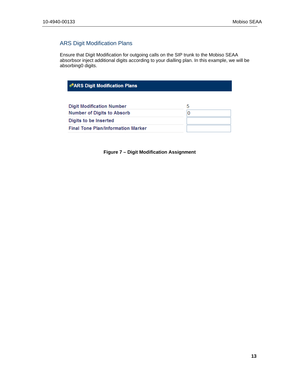#### ARS Digit Modification Plans

Ensure that Digit Modification for outgoing calls on the SIP trunk to the Mobiso SEAA absorbsor inject additional digits according to your dialling plan. In this example, we will be absorbing0 digits.

#### ← ARS Digit Modification Plans

| <b>Digit Modification Number</b>          |  |
|-------------------------------------------|--|
| <b>Number of Digits to Absorb</b>         |  |
| Digits to be Inserted                     |  |
| <b>Final Tone Plan/Information Marker</b> |  |

**Figure 7 – Digit Modification Assignment**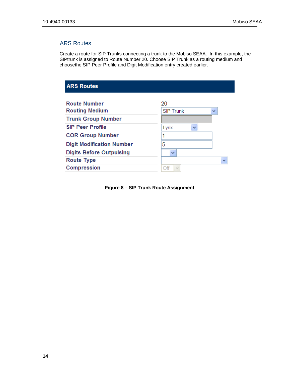#### ARS Routes

Create a route for SIP Trunks connecting a trunk to the Mobiso SEAA. In this example, the SIPtrunk is assigned to Route Number 20. Choose SIP Trunk as a routing medium and choosethe SIP Peer Profile and Digit Modification entry created earlier.

| <b>SIP Trunk</b><br>v |    |
|-----------------------|----|
|                       |    |
| Lyrix<br>v            |    |
| 1                     |    |
| 5                     |    |
| $\checkmark$          |    |
|                       | v  |
| Off                   |    |
|                       | 20 |

**Figure 8 – SIP Trunk Route Assignment**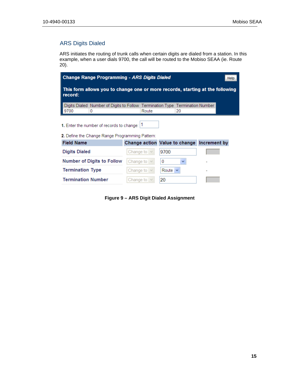#### ARS Digits Dialed

ARS initiates the routing of trunk calls when certain digits are dialed from a station. In this example, when a user dials 9700, the call will be routed to the Mobiso SEAA (ie. Route 20).

| Change Range Programming - ARS Digits Dialed<br><b>Help</b>                                |                  |                                            |  |  |  |  |  |  |
|--------------------------------------------------------------------------------------------|------------------|--------------------------------------------|--|--|--|--|--|--|
| This form allows you to change one or more records, starting at the following<br>∣ record: |                  |                                            |  |  |  |  |  |  |
| Digits Dialed Number of Digits to Follow Termination Type Termination Number<br>9700<br>0  | Route            | 20                                         |  |  |  |  |  |  |
| 1. Enter the number of records to change: $ 1 $                                            |                  |                                            |  |  |  |  |  |  |
| <b>2.</b> Define the Change Range Programming Pattern:                                     |                  |                                            |  |  |  |  |  |  |
| <b>Field Name</b>                                                                          |                  | Change action Value to change Increment by |  |  |  |  |  |  |
| <b>Digits Dialed</b>                                                                       | Change to $\vee$ | 9700                                       |  |  |  |  |  |  |
| <b>Number of Digits to Follow</b>                                                          | Change to $\vee$ | 0<br>v                                     |  |  |  |  |  |  |
| <b>Termination Type</b>                                                                    | Change to $\vee$ | Route $\vee$                               |  |  |  |  |  |  |
| <b>Termination Number</b>                                                                  | Change to $\vee$ | 20                                         |  |  |  |  |  |  |

**Figure 9 – ARS Digit Dialed Assignment**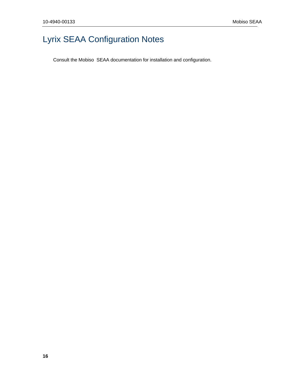## Lyrix SEAA Configuration Notes

Consult the Mobiso SEAA documentation for installation and configuration.